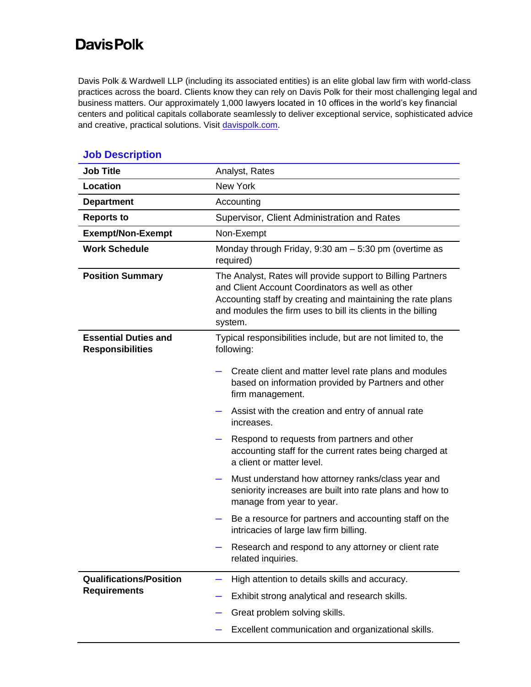## **Davis Polk**

Davis Polk & Wardwell LLP (including its associated entities) is an elite global law firm with world-class practices across the board. Clients know they can rely on Davis Polk for their most challenging legal and business matters. Our approximately 1,000 lawyers located in 10 offices in the world's key financial centers and political capitals collaborate seamlessly to deliver exceptional service, sophisticated advice and creative, practical solutions. Visit [davispolk.com.](https://www.davispolk.com/)

| <b>Job Title</b>                                       | Analyst, Rates                                                                                                                                                                                                                                            |
|--------------------------------------------------------|-----------------------------------------------------------------------------------------------------------------------------------------------------------------------------------------------------------------------------------------------------------|
| Location                                               | <b>New York</b>                                                                                                                                                                                                                                           |
| <b>Department</b>                                      | Accounting                                                                                                                                                                                                                                                |
| <b>Reports to</b>                                      | Supervisor, Client Administration and Rates                                                                                                                                                                                                               |
| <b>Exempt/Non-Exempt</b>                               | Non-Exempt                                                                                                                                                                                                                                                |
| <b>Work Schedule</b>                                   | Monday through Friday, $9:30$ am $-5:30$ pm (overtime as<br>required)                                                                                                                                                                                     |
| <b>Position Summary</b>                                | The Analyst, Rates will provide support to Billing Partners<br>and Client Account Coordinators as well as other<br>Accounting staff by creating and maintaining the rate plans<br>and modules the firm uses to bill its clients in the billing<br>system. |
| <b>Essential Duties and</b><br><b>Responsibilities</b> | Typical responsibilities include, but are not limited to, the<br>following:                                                                                                                                                                               |
|                                                        | Create client and matter level rate plans and modules<br>based on information provided by Partners and other<br>firm management.                                                                                                                          |
|                                                        | Assist with the creation and entry of annual rate<br>increases.                                                                                                                                                                                           |
|                                                        | Respond to requests from partners and other<br>accounting staff for the current rates being charged at<br>a client or matter level.                                                                                                                       |
|                                                        | Must understand how attorney ranks/class year and<br>—<br>seniority increases are built into rate plans and how to<br>manage from year to year.                                                                                                           |
|                                                        | Be a resource for partners and accounting staff on the<br>intricacies of large law firm billing.                                                                                                                                                          |
|                                                        | Research and respond to any attorney or client rate<br>related inquiries.                                                                                                                                                                                 |
| <b>Qualifications/Position</b><br><b>Requirements</b>  | High attention to details skills and accuracy.                                                                                                                                                                                                            |
|                                                        | Exhibit strong analytical and research skills.                                                                                                                                                                                                            |
|                                                        | Great problem solving skills.                                                                                                                                                                                                                             |
|                                                        | Excellent communication and organizational skills.                                                                                                                                                                                                        |

## **Job Description**